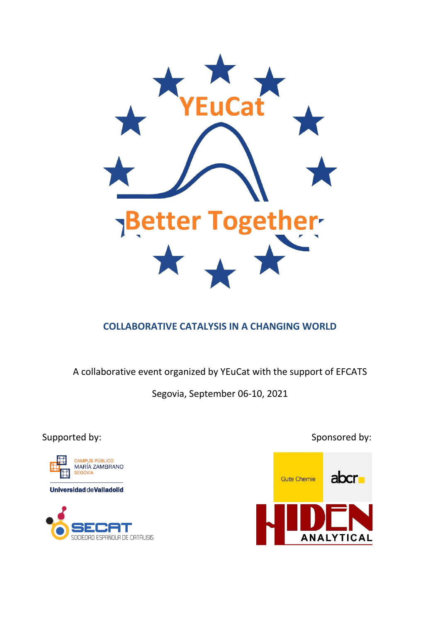

# **COLLABORATIVE CATALYSIS IN A CHANGING WORLD**

A collaborative event organized by YEuCat with the support of EFCATS

Segovia, September 06-10, 2021





Supported by: Supported by: Sponsored by: Sponsored by: Sponsored by: Sponsored by: Sponsored by: Sponsored by: Sponsored by: Sponsored by: Sponsored by: Sponsored by: Sponsored by: Sponsored by: Sponsored by: Sponsored by

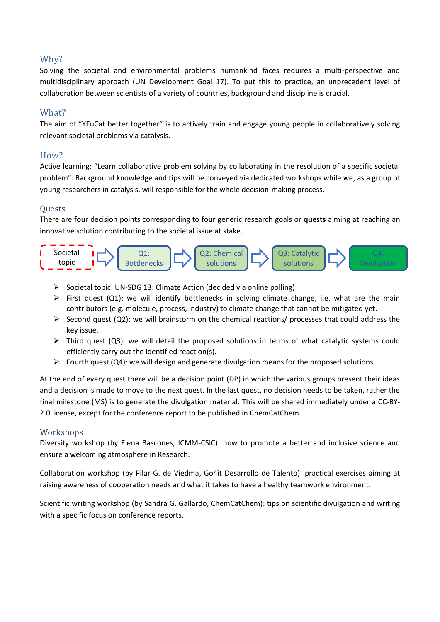## Why?

Solving the societal and environmental problems humankind faces requires a multi-perspective and multidisciplinary approach (UN Development Goal 17). To put this to practice, an unprecedent level of collaboration between scientists of a variety of countries, background and discipline is crucial.

## What?

The aim of "YEuCat better together" is to actively train and engage young people in collaboratively solving relevant societal problems via catalysis.

## How?

Active learning: "Learn collaborative problem solving by collaborating in the resolution of a specific societal problem". Background knowledge and tips will be conveyed via dedicated workshops while we, as a group of young researchers in catalysis, will responsible for the whole decision-making process.

### **Ouests**

There are four decision points corresponding to four generic research goals or **quests** aiming at reaching an innovative solution contributing to the societal issue at stake.



- $\triangleright$  Societal topic: UN-SDG 13: Climate Action (decided via online polling)
- First quest (Q1): we will identify bottlenecks in solving climate change, i.e. what are the main contributors (e.g. molecule, process, industry) to climate change that cannot be mitigated yet.
- $\triangleright$  Second quest (Q2): we will brainstorm on the chemical reactions/ processes that could address the key issue.
- $\triangleright$  Third quest (Q3): we will detail the proposed solutions in terms of what catalytic systems could efficiently carry out the identified reaction(s).
- Fourth quest (Q4): we will design and generate divulgation means for the proposed solutions.

At the end of every quest there will be a decision point (DP) in which the various groups present their ideas and a decision is made to move to the next quest. In the last quest, no decision needs to be taken, rather the final milestone (MS) is to generate the divulgation material. This will be shared immediately under a CC-BY-2.0 license, except for the conference report to be published in ChemCatChem.

#### Workshops

Diversity workshop (by Elena Bascones, ICMM-CSIC): how to promote a better and inclusive science and ensure a welcoming atmosphere in Research.

Collaboration workshop (by Pilar G. de Viedma, Go4it Desarrollo de Talento): practical exercises aiming at raising awareness of cooperation needs and what it takes to have a healthy teamwork environment.

Scientific writing workshop (by Sandra G. Gallardo, ChemCatChem): tips on scientific divulgation and writing with a specific focus on conference reports.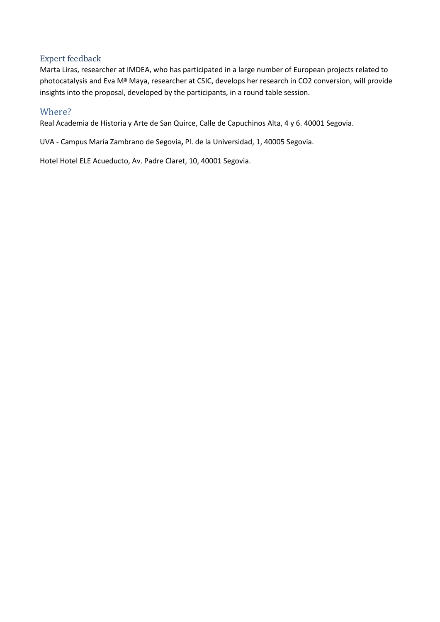### Expert feedback

Marta Liras, researcher at IMDEA, who has participated in a large number of European projects related to photocatalysis and Eva Mª Maya, researcher at CSIC, develops her research in CO2 conversion, will provide insights into the proposal, developed by the participants, in a round table session.

## Where?

Real Academia de Historia y Arte de San Quirce, Calle de Capuchinos Alta, 4 y 6. 40001 Segovia.

UVA - Campus María Zambrano de Segovia**,** Pl. de la Universidad, 1, 40005 Segovia.

Hotel Hotel ELE Acueducto, Av. Padre Claret, 10, 40001 Segovia.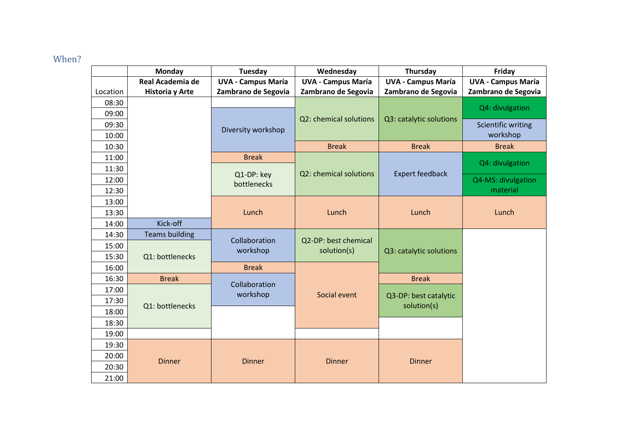# When?

|          | Monday                                   | Tuesday                   | Wednesday                           | Thursday                  | Friday                    |
|----------|------------------------------------------|---------------------------|-------------------------------------|---------------------------|---------------------------|
|          | Real Academia de                         | <b>UVA - Campus María</b> | <b>UVA - Campus María</b>           | <b>UVA - Campus María</b> | <b>UVA - Campus María</b> |
| Location | Historia y Arte                          | Zambrano de Segovia       | Zambrano de Segovia                 | Zambrano de Segovia       | Zambrano de Segovia       |
| 08:30    |                                          |                           |                                     |                           | Q4: divulgation           |
| 09:00    |                                          | Diversity workshop        | Q2: chemical solutions              | Q3: catalytic solutions   |                           |
| 09:30    |                                          |                           |                                     |                           | Scientific writing        |
| 10:00    |                                          |                           |                                     |                           | workshop                  |
| 10:30    |                                          |                           | <b>Break</b>                        | <b>Break</b>              | <b>Break</b>              |
| 11:00    |                                          | <b>Break</b>              |                                     |                           | Q4: divulgation           |
| 11:30    |                                          | Q1-DP: key<br>bottlenecks | Q2: chemical solutions              | <b>Expert feedback</b>    |                           |
| 12:00    |                                          |                           |                                     |                           | Q4-MS: divulgation        |
| 12:30    |                                          |                           |                                     |                           | material                  |
| 13:00    |                                          |                           |                                     |                           |                           |
| 13:30    |                                          | Lunch                     | Lunch                               | Lunch                     | Lunch                     |
| 14:00    | Kick-off                                 |                           |                                     |                           |                           |
| 14:30    | <b>Teams building</b><br>Q1: bottlenecks | Collaboration<br>workshop | Q2-DP: best chemical<br>solution(s) | Q3: catalytic solutions   |                           |
| 15:00    |                                          |                           |                                     |                           |                           |
| 15:30    |                                          |                           |                                     |                           |                           |
| 16:00    |                                          | <b>Break</b>              |                                     |                           |                           |
| 16:30    | <b>Break</b>                             | Collaboration             |                                     | <b>Break</b>              |                           |
| 17:00    |                                          | workshop                  | Social event                        | Q3-DP: best catalytic     |                           |
| 17:30    | Q1: bottlenecks                          |                           |                                     | solution(s)               |                           |
| 18:00    |                                          |                           |                                     |                           |                           |
| 18:30    |                                          |                           |                                     |                           |                           |
| 19:00    |                                          |                           |                                     |                           |                           |
| 19:30    |                                          |                           |                                     |                           |                           |
| 20:00    | <b>Dinner</b>                            | <b>Dinner</b>             | <b>Dinner</b>                       | <b>Dinner</b>             |                           |
| 20:30    |                                          |                           |                                     |                           |                           |
| 21:00    |                                          |                           |                                     |                           |                           |